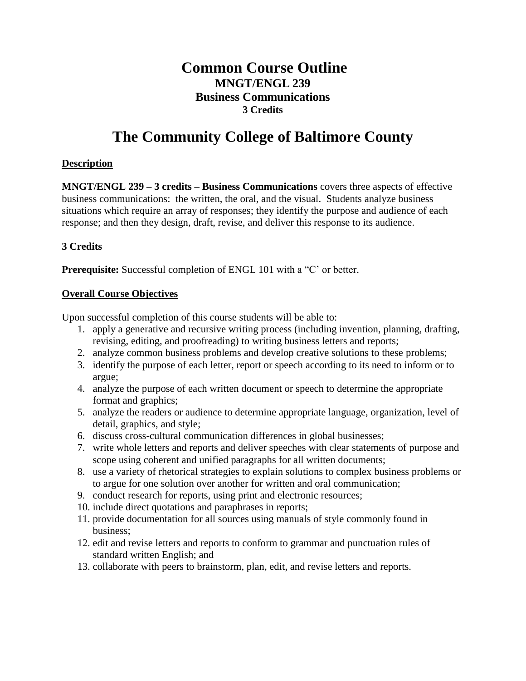## **Common Course Outline MNGT/ENGL 239 Business Communications 3 Credits**

# **The Community College of Baltimore County**

#### **Description**

**MNGT/ENGL 239 – 3 credits – Business Communications** covers three aspects of effective business communications: the written, the oral, and the visual. Students analyze business situations which require an array of responses; they identify the purpose and audience of each response; and then they design, draft, revise, and deliver this response to its audience.

#### **3 Credits**

**Prerequisite:** Successful completion of ENGL 101 with a "C" or better.

#### **Overall Course Objectives**

Upon successful completion of this course students will be able to:

- 1. apply a generative and recursive writing process (including invention, planning, drafting, revising, editing, and proofreading) to writing business letters and reports;
- 2. analyze common business problems and develop creative solutions to these problems;
- 3. identify the purpose of each letter, report or speech according to its need to inform or to argue;
- 4. analyze the purpose of each written document or speech to determine the appropriate format and graphics;
- 5. analyze the readers or audience to determine appropriate language, organization, level of detail, graphics, and style;
- 6. discuss cross-cultural communication differences in global businesses;
- 7. write whole letters and reports and deliver speeches with clear statements of purpose and scope using coherent and unified paragraphs for all written documents;
- 8. use a variety of rhetorical strategies to explain solutions to complex business problems or to argue for one solution over another for written and oral communication;
- 9. conduct research for reports, using print and electronic resources;
- 10. include direct quotations and paraphrases in reports;
- 11. provide documentation for all sources using manuals of style commonly found in business;
- 12. edit and revise letters and reports to conform to grammar and punctuation rules of standard written English; and
- 13. collaborate with peers to brainstorm, plan, edit, and revise letters and reports.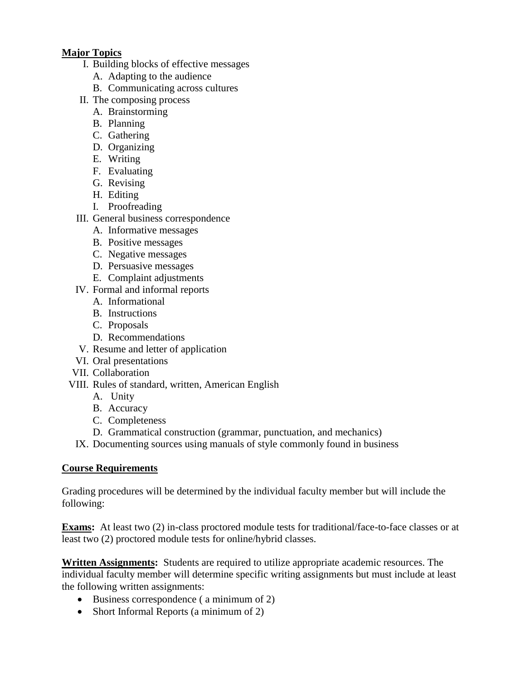### **Major Topics**

- I. Building blocks of effective messages
	- A. Adapting to the audience
	- B. Communicating across cultures
- II. The composing process
	- A. Brainstorming
	- B. Planning
	- C. Gathering
	- D. Organizing
	- E. Writing
	- F. Evaluating
	- G. Revising
	- H. Editing
	- I. Proofreading
- III. General business correspondence
	- A. Informative messages
	- B. Positive messages
	- C. Negative messages
	- D. Persuasive messages
	- E. Complaint adjustments
- IV. Formal and informal reports
	- A. Informational
	- B. Instructions
	- C. Proposals
	- D. Recommendations
- V. Resume and letter of application
- VI. Oral presentations
- VII. Collaboration
- VIII. Rules of standard, written, American English
	- A. Unity
	- B. Accuracy
	- C. Completeness
	- D. Grammatical construction (grammar, punctuation, and mechanics)
	- IX. Documenting sources using manuals of style commonly found in business

## **Course Requirements**

Grading procedures will be determined by the individual faculty member but will include the following:

**Exams:** At least two (2) in-class proctored module tests for traditional/face-to-face classes or at least two (2) proctored module tests for online/hybrid classes.

**Written Assignments:** Students are required to utilize appropriate academic resources. The individual faculty member will determine specific writing assignments but must include at least the following written assignments:

- Business correspondence (a minimum of 2)
- Short Informal Reports (a minimum of 2)